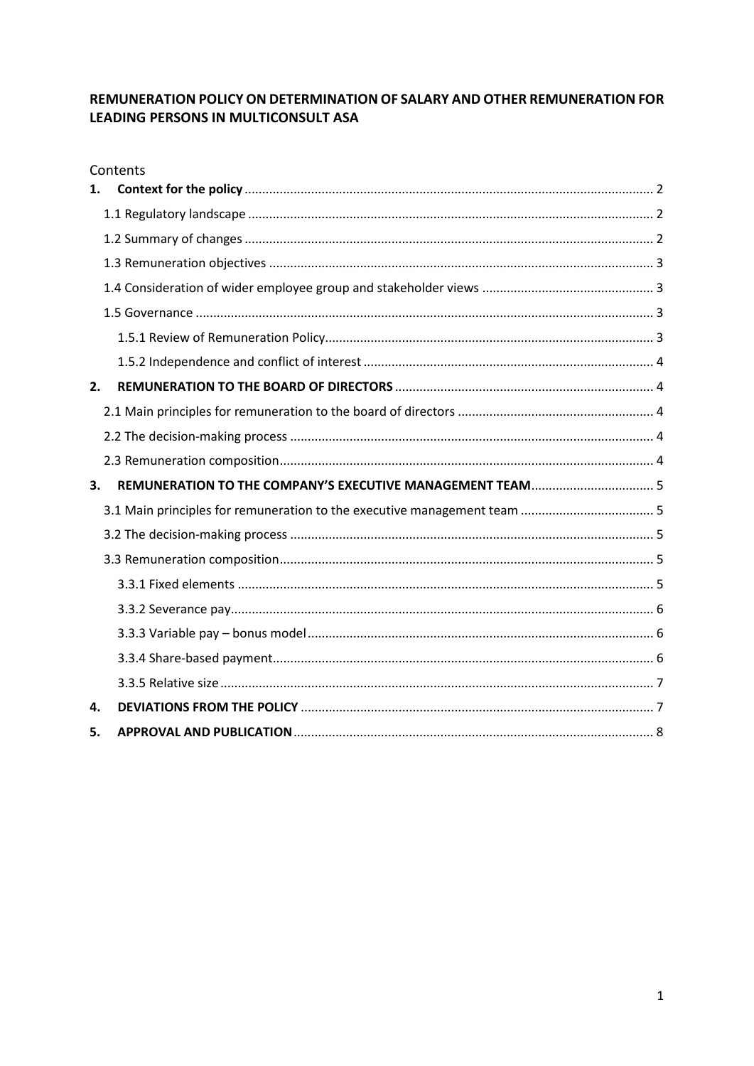## REMUNERATION POLICY ON DETERMINATION OF SALARY AND OTHER REMUNERATION FOR LEADING PERSONS IN MULTICONSULT ASA

|    | Contents |  |
|----|----------|--|
| 1. |          |  |
|    |          |  |
|    |          |  |
|    |          |  |
|    |          |  |
|    |          |  |
|    |          |  |
|    |          |  |
| 2. |          |  |
|    |          |  |
|    |          |  |
|    |          |  |
| 3. |          |  |
|    |          |  |
|    |          |  |
|    |          |  |
|    |          |  |
|    |          |  |
|    |          |  |
|    |          |  |
|    |          |  |
| 4. |          |  |
| 5. |          |  |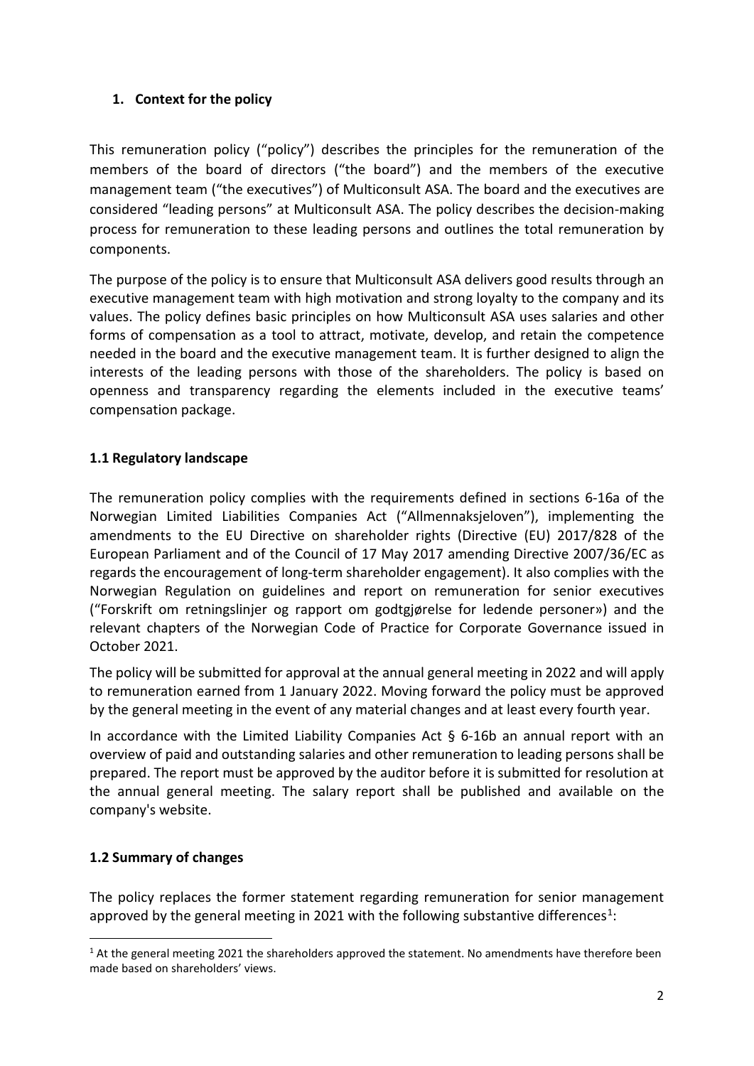### <span id="page-1-0"></span>**1. Context for the policy**

This remuneration policy ("policy") describes the principles for the remuneration of the members of the board of directors ("the board") and the members of the executive management team ("the executives") of Multiconsult ASA. The board and the executives are considered "leading persons" at Multiconsult ASA. The policy describes the decision-making process for remuneration to these leading persons and outlines the total remuneration by components.

The purpose of the policy is to ensure that Multiconsult ASA delivers good results through an executive management team with high motivation and strong loyalty to the company and its values. The policy defines basic principles on how Multiconsult ASA uses salaries and other forms of compensation as a tool to attract, motivate, develop, and retain the competence needed in the board and the executive management team. It is further designed to align the interests of the leading persons with those of the shareholders. The policy is based on openness and transparency regarding the elements included in the executive teams' compensation package.

## <span id="page-1-1"></span>**1.1 Regulatory landscape**

The remuneration policy complies with the requirements defined in sections 6-16a of the Norwegian Limited Liabilities Companies Act ("Allmennaksjeloven"), implementing the amendments to the EU Directive on shareholder rights (Directive (EU) 2017/828 of the European Parliament and of the Council of 17 May 2017 amending Directive 2007/36/EC as regards the encouragement of long-term shareholder engagement). It also complies with the Norwegian Regulation on guidelines and report on remuneration for senior executives ("Forskrift om retningslinjer og rapport om godtgjørelse for ledende personer») and the relevant chapters of the Norwegian Code of Practice for Corporate Governance issued in October 2021.

The policy will be submitted for approval at the annual general meeting in 2022 and will apply to remuneration earned from 1 January 2022. Moving forward the policy must be approved by the general meeting in the event of any material changes and at least every fourth year.

In accordance with the Limited Liability Companies Act  $\S$  6-16b an annual report with an overview of paid and outstanding salaries and other remuneration to leading persons shall be prepared. The report must be approved by the auditor before it is submitted for resolution at the annual general meeting. The salary report shall be published and available on the company's website.

# <span id="page-1-2"></span>**1.2 Summary of changes**

The policy replaces the former statement regarding remuneration for senior management approved by the general meeting in 2021 with the following substantive differences<sup>1</sup>:

<span id="page-1-3"></span><sup>&</sup>lt;sup>1</sup> At the general meeting 2021 the shareholders approved the statement. No amendments have therefore been made based on shareholders' views.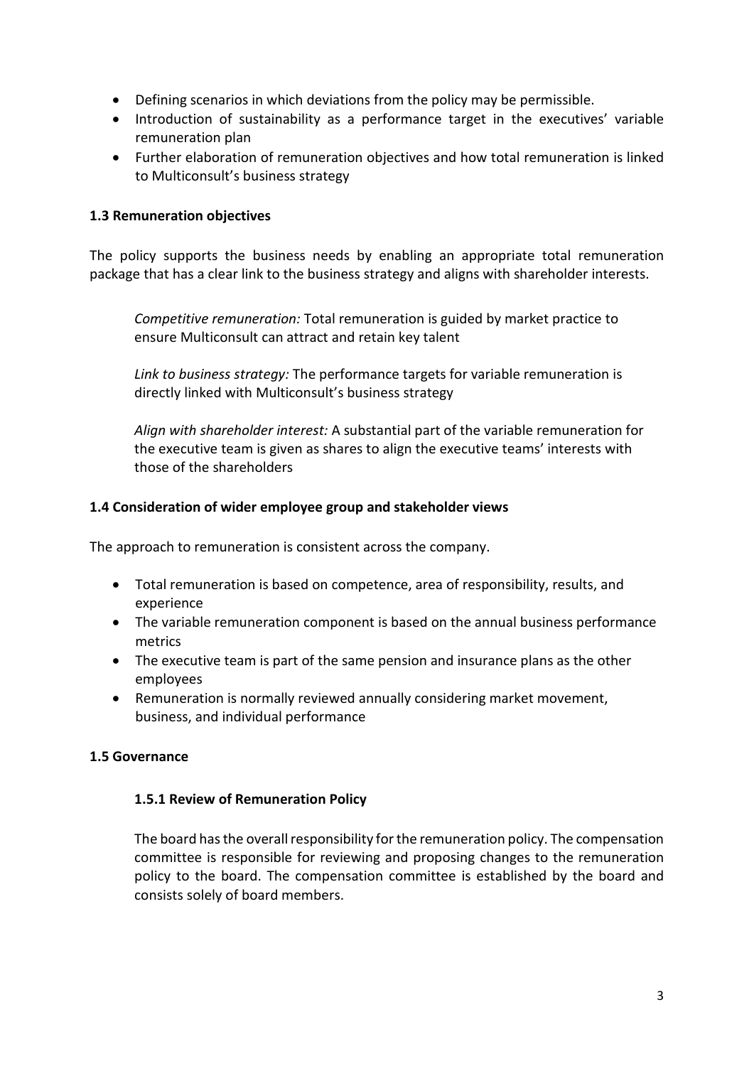- Defining scenarios in which deviations from the policy may be permissible.
- Introduction of sustainability as a performance target in the executives' variable remuneration plan
- Further elaboration of remuneration objectives and how total remuneration is linked to Multiconsult's business strategy

### <span id="page-2-0"></span>**1.3 Remuneration objectives**

The policy supports the business needs by enabling an appropriate total remuneration package that has a clear link to the business strategy and aligns with shareholder interests.

*Competitive remuneration:* Total remuneration is guided by market practice to ensure Multiconsult can attract and retain key talent

*Link to business strategy:* The performance targets for variable remuneration is directly linked with Multiconsult's business strategy

*Align with shareholder interest:* A substantial part of the variable remuneration for the executive team is given as shares to align the executive teams' interests with those of the shareholders

## <span id="page-2-1"></span>**1.4 Consideration of wider employee group and stakeholder views**

The approach to remuneration is consistent across the company.

- Total remuneration is based on competence, area of responsibility, results, and experience
- The variable remuneration component is based on the annual business performance metrics
- The executive team is part of the same pension and insurance plans as the other employees
- Remuneration is normally reviewed annually considering market movement, business, and individual performance

# <span id="page-2-3"></span><span id="page-2-2"></span>**1.5 Governance**

### **1.5.1 Review of Remuneration Policy**

The board has the overall responsibility for the remuneration policy. The compensation committee is responsible for reviewing and proposing changes to the remuneration policy to the board. The compensation committee is established by the board and consists solely of board members.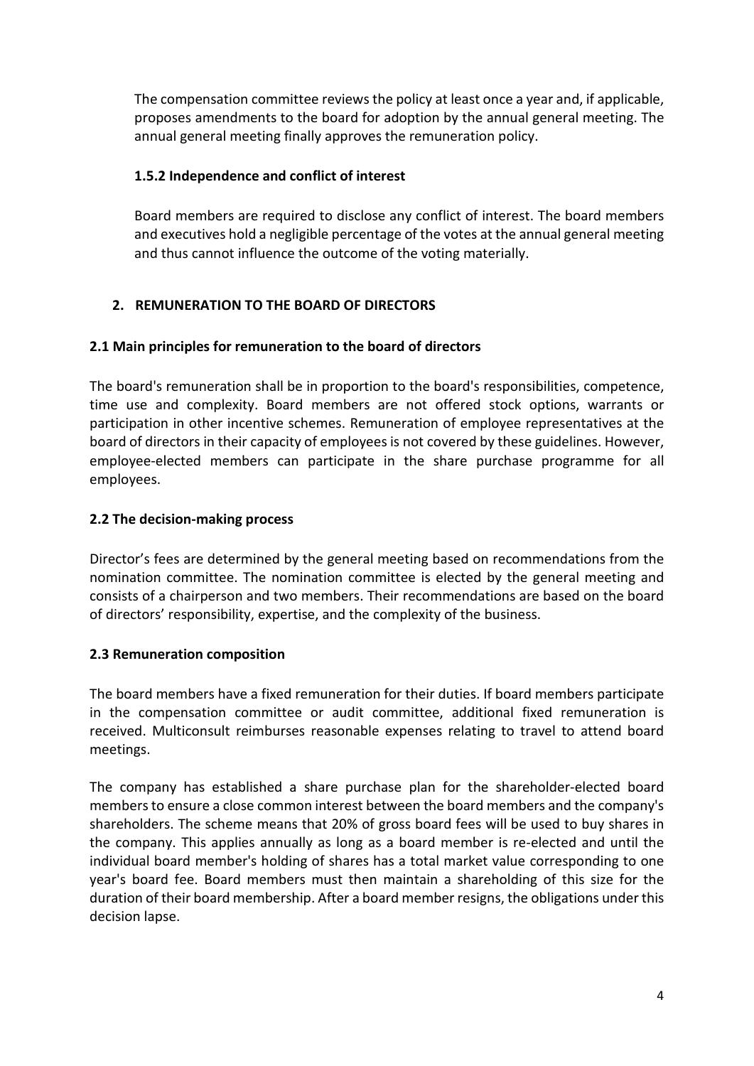The compensation committee reviews the policy at least once a year and, if applicable, proposes amendments to the board for adoption by the annual general meeting. The annual general meeting finally approves the remuneration policy.

### <span id="page-3-0"></span>**1.5.2 Independence and conflict of interest**

Board members are required to disclose any conflict of interest. The board members and executives hold a negligible percentage of the votes at the annual general meeting and thus cannot influence the outcome of the voting materially.

# <span id="page-3-1"></span>**2. REMUNERATION TO THE BOARD OF DIRECTORS**

# <span id="page-3-2"></span>**2.1 Main principles for remuneration to the board of directors**

The board's remuneration shall be in proportion to the board's responsibilities, competence, time use and complexity. Board members are not offered stock options, warrants or participation in other incentive schemes. Remuneration of employee representatives at the board of directors in their capacity of employees is not covered by these guidelines. However, employee-elected members can participate in the share purchase programme for all employees.

## <span id="page-3-3"></span>**2.2 The decision-making process**

Director's fees are determined by the general meeting based on recommendations from the nomination committee. The nomination committee is elected by the general meeting and consists of a chairperson and two members. Their recommendations are based on the board of directors' responsibility, expertise, and the complexity of the business.

### <span id="page-3-4"></span>**2.3 Remuneration composition**

The board members have a fixed remuneration for their duties. If board members participate in the compensation committee or audit committee, additional fixed remuneration is received. Multiconsult reimburses reasonable expenses relating to travel to attend board meetings.

The company has established a share purchase plan for the shareholder-elected board members to ensure a close common interest between the board members and the company's shareholders. The scheme means that 20% of gross board fees will be used to buy shares in the company. This applies annually as long as a board member is re-elected and until the individual board member's holding of shares has a total market value corresponding to one year's board fee. Board members must then maintain a shareholding of this size for the duration of their board membership. After a board member resigns, the obligations under this decision lapse.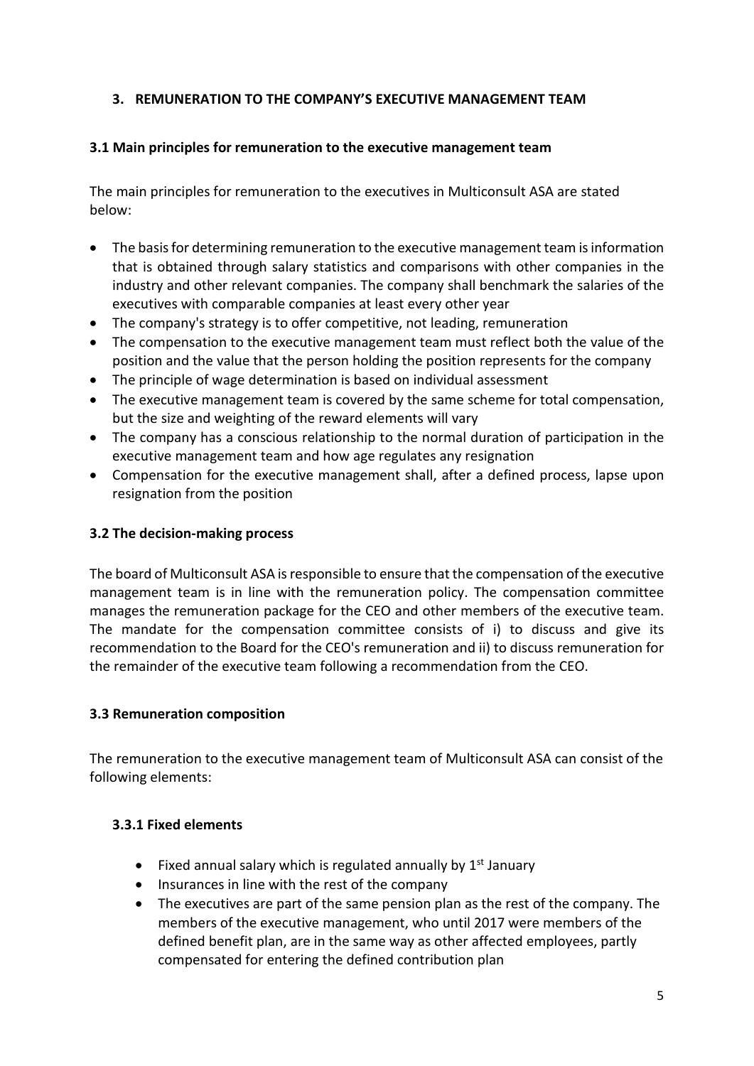### <span id="page-4-0"></span>**3. REMUNERATION TO THE COMPANY'S EXECUTIVE MANAGEMENT TEAM**

### <span id="page-4-1"></span>**3.1 Main principles for remuneration to the executive management team**

The main principles for remuneration to the executives in Multiconsult ASA are stated below:

- The basis for determining remuneration to the executive management team is information that is obtained through salary statistics and comparisons with other companies in the industry and other relevant companies. The company shall benchmark the salaries of the executives with comparable companies at least every other year
- The company's strategy is to offer competitive, not leading, remuneration
- The compensation to the executive management team must reflect both the value of the position and the value that the person holding the position represents for the company
- The principle of wage determination is based on individual assessment
- The executive management team is covered by the same scheme for total compensation, but the size and weighting of the reward elements will vary
- The company has a conscious relationship to the normal duration of participation in the executive management team and how age regulates any resignation
- Compensation for the executive management shall, after a defined process, lapse upon resignation from the position

### <span id="page-4-2"></span>**3.2 The decision-making process**

The board of Multiconsult ASA is responsible to ensure that the compensation of the executive management team is in line with the remuneration policy. The compensation committee manages the remuneration package for the CEO and other members of the executive team. The mandate for the compensation committee consists of i) to discuss and give its recommendation to the Board for the CEO's remuneration and ii) to discuss remuneration for the remainder of the executive team following a recommendation from the CEO.

### <span id="page-4-3"></span>**3.3 Remuneration composition**

The remuneration to the executive management team of Multiconsult ASA can consist of the following elements:

### <span id="page-4-4"></span>**3.3.1 Fixed elements**

- Fixed annual salary which is regulated annually by  $1<sup>st</sup>$  January
- Insurances in line with the rest of the company
- The executives are part of the same pension plan as the rest of the company. The members of the executive management, who until 2017 were members of the defined benefit plan, are in the same way as other affected employees, partly compensated for entering the defined contribution plan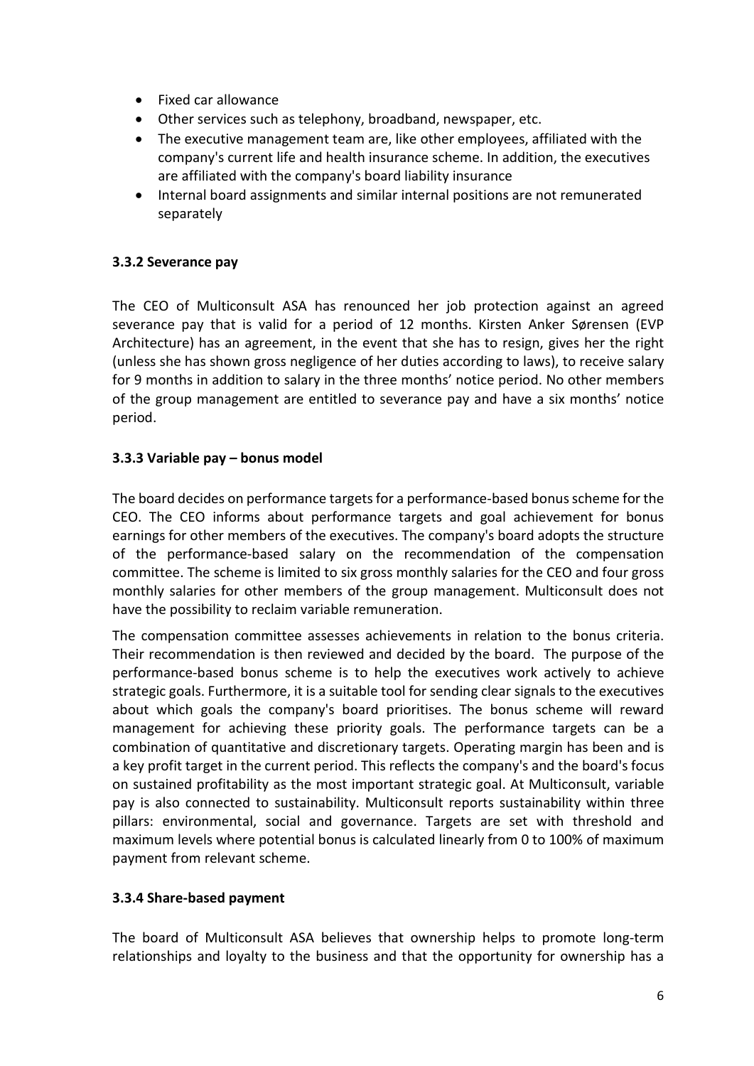- Fixed car allowance
- Other services such as telephony, broadband, newspaper, etc.
- The executive management team are, like other employees, affiliated with the company's current life and health insurance scheme. In addition, the executives are affiliated with the company's board liability insurance
- Internal board assignments and similar internal positions are not remunerated separately

#### <span id="page-5-0"></span>**3.3.2 Severance pay**

The CEO of Multiconsult ASA has renounced her job protection against an agreed severance pay that is valid for a period of 12 months. Kirsten Anker Sørensen (EVP Architecture) has an agreement, in the event that she has to resign, gives her the right (unless she has shown gross negligence of her duties according to laws), to receive salary for 9 months in addition to salary in the three months' notice period. No other members of the group management are entitled to severance pay and have a six months' notice period.

#### <span id="page-5-1"></span>**3.3.3 Variable pay – bonus model**

The board decides on performance targets for a performance-based bonus scheme for the CEO. The CEO informs about performance targets and goal achievement for bonus earnings for other members of the executives. The company's board adopts the structure of the performance-based salary on the recommendation of the compensation committee. The scheme is limited to six gross monthly salaries for the CEO and four gross monthly salaries for other members of the group management. Multiconsult does not have the possibility to reclaim variable remuneration.

The compensation committee assesses achievements in relation to the bonus criteria. Their recommendation is then reviewed and decided by the board. The purpose of the performance-based bonus scheme is to help the executives work actively to achieve strategic goals. Furthermore, it is a suitable tool for sending clear signals to the executives about which goals the company's board prioritises. The bonus scheme will reward management for achieving these priority goals. The performance targets can be a combination of quantitative and discretionary targets. Operating margin has been and is a key profit target in the current period. This reflects the company's and the board's focus on sustained profitability as the most important strategic goal. At Multiconsult, variable pay is also connected to sustainability. Multiconsult reports sustainability within three pillars: environmental, social and governance. Targets are set with threshold and maximum levels where potential bonus is calculated linearly from 0 to 100% of maximum payment from relevant scheme.

### <span id="page-5-2"></span>**3.3.4 Share-based payment**

The board of Multiconsult ASA believes that ownership helps to promote long-term relationships and loyalty to the business and that the opportunity for ownership has a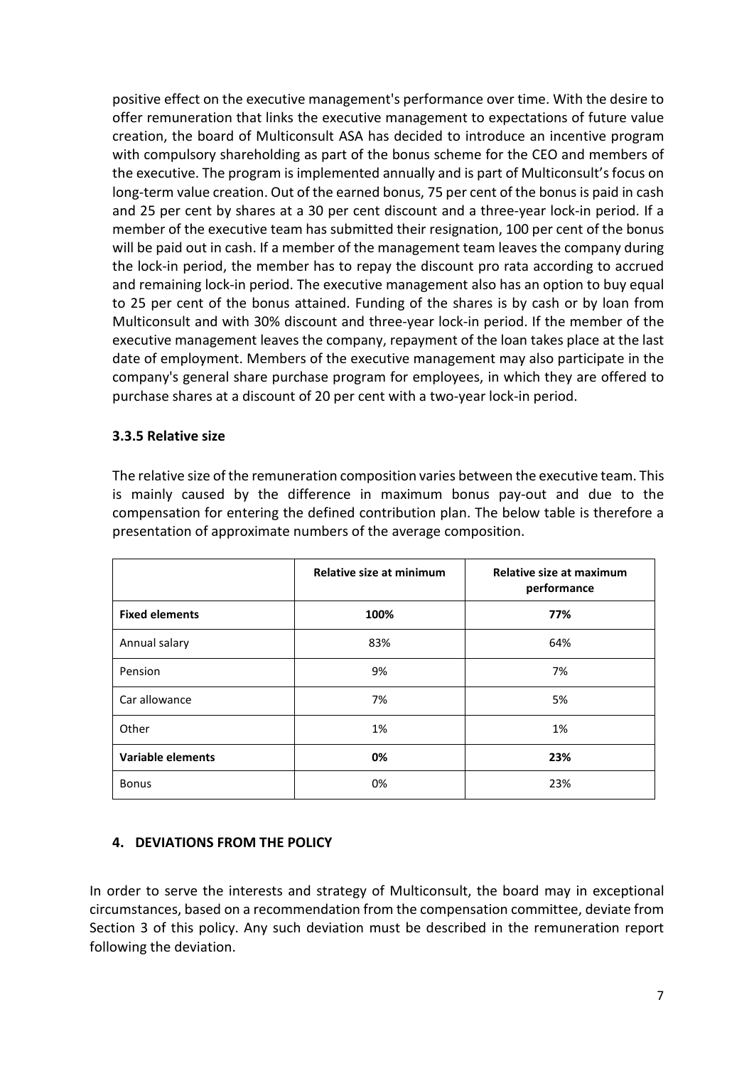positive effect on the executive management's performance over time. With the desire to offer remuneration that links the executive management to expectations of future value creation, the board of Multiconsult ASA has decided to introduce an incentive program with compulsory shareholding as part of the bonus scheme for the CEO and members of the executive. The program is implemented annually and is part of Multiconsult's focus on long-term value creation. Out of the earned bonus, 75 per cent of the bonus is paid in cash and 25 per cent by shares at a 30 per cent discount and a three-year lock-in period. If a member of the executive team has submitted their resignation, 100 per cent of the bonus will be paid out in cash. If a member of the management team leaves the company during the lock-in period, the member has to repay the discount pro rata according to accrued and remaining lock-in period. The executive management also has an option to buy equal to 25 per cent of the bonus attained. Funding of the shares is by cash or by loan from Multiconsult and with 30% discount and three-year lock-in period. If the member of the executive management leaves the company, repayment of the loan takes place at the last date of employment. Members of the executive management may also participate in the company's general share purchase program for employees, in which they are offered to purchase shares at a discount of 20 per cent with a two-year lock-in period.

#### <span id="page-6-0"></span>**3.3.5 Relative size**

The relative size of the remuneration composition varies between the executive team. This is mainly caused by the difference in maximum bonus pay-out and due to the compensation for entering the defined contribution plan. The below table is therefore a presentation of approximate numbers of the average composition.

|                          | Relative size at minimum | Relative size at maximum<br>performance |
|--------------------------|--------------------------|-----------------------------------------|
| <b>Fixed elements</b>    | 100%                     | 77%                                     |
| Annual salary            | 83%                      | 64%                                     |
| Pension                  | 9%                       | 7%                                      |
| Car allowance            | 7%                       | 5%                                      |
| Other                    | 1%                       | 1%                                      |
| <b>Variable elements</b> | 0%                       | 23%                                     |
| <b>Bonus</b>             | 0%                       | 23%                                     |

### <span id="page-6-1"></span>**4. DEVIATIONS FROM THE POLICY**

In order to serve the interests and strategy of Multiconsult, the board may in exceptional circumstances, based on a recommendation from the compensation committee, deviate from Section 3 of this policy. Any such deviation must be described in the remuneration report following the deviation.